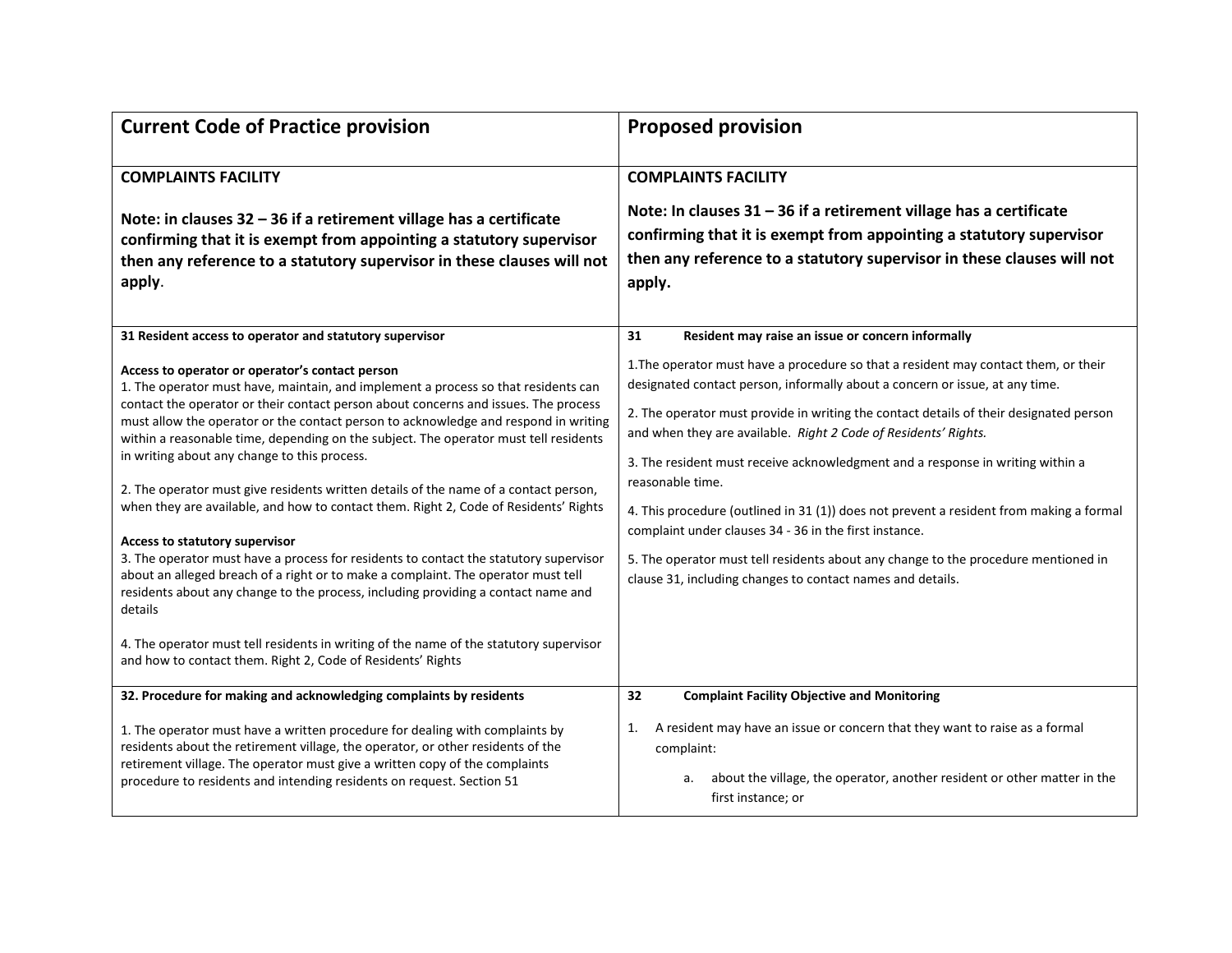| <b>Current Code of Practice provision</b>                                                                                                                                                                                                                                                                                                                                                                                                                                                                                                                                                                                                                                                                                                                                                                                                                                                                                                                                                                                                                                                                            | <b>Proposed provision</b>                                                                                                                                                                                                                                                                                                                                                                                                                                                                                                                                                                                                                                                                                                                       |
|----------------------------------------------------------------------------------------------------------------------------------------------------------------------------------------------------------------------------------------------------------------------------------------------------------------------------------------------------------------------------------------------------------------------------------------------------------------------------------------------------------------------------------------------------------------------------------------------------------------------------------------------------------------------------------------------------------------------------------------------------------------------------------------------------------------------------------------------------------------------------------------------------------------------------------------------------------------------------------------------------------------------------------------------------------------------------------------------------------------------|-------------------------------------------------------------------------------------------------------------------------------------------------------------------------------------------------------------------------------------------------------------------------------------------------------------------------------------------------------------------------------------------------------------------------------------------------------------------------------------------------------------------------------------------------------------------------------------------------------------------------------------------------------------------------------------------------------------------------------------------------|
| <b>COMPLAINTS FACILITY</b><br>Note: in clauses $32 - 36$ if a retirement village has a certificate<br>confirming that it is exempt from appointing a statutory supervisor<br>then any reference to a statutory supervisor in these clauses will not<br>apply.                                                                                                                                                                                                                                                                                                                                                                                                                                                                                                                                                                                                                                                                                                                                                                                                                                                        | <b>COMPLAINTS FACILITY</b><br>Note: In clauses $31 - 36$ if a retirement village has a certificate<br>confirming that it is exempt from appointing a statutory supervisor<br>then any reference to a statutory supervisor in these clauses will not<br>apply.                                                                                                                                                                                                                                                                                                                                                                                                                                                                                   |
| 31 Resident access to operator and statutory supervisor                                                                                                                                                                                                                                                                                                                                                                                                                                                                                                                                                                                                                                                                                                                                                                                                                                                                                                                                                                                                                                                              | 31<br>Resident may raise an issue or concern informally                                                                                                                                                                                                                                                                                                                                                                                                                                                                                                                                                                                                                                                                                         |
| Access to operator or operator's contact person<br>1. The operator must have, maintain, and implement a process so that residents can<br>contact the operator or their contact person about concerns and issues. The process<br>must allow the operator or the contact person to acknowledge and respond in writing<br>within a reasonable time, depending on the subject. The operator must tell residents<br>in writing about any change to this process.<br>2. The operator must give residents written details of the name of a contact person,<br>when they are available, and how to contact them. Right 2, Code of Residents' Rights<br>Access to statutory supervisor<br>3. The operator must have a process for residents to contact the statutory supervisor<br>about an alleged breach of a right or to make a complaint. The operator must tell<br>residents about any change to the process, including providing a contact name and<br>details<br>4. The operator must tell residents in writing of the name of the statutory supervisor<br>and how to contact them. Right 2, Code of Residents' Rights | 1. The operator must have a procedure so that a resident may contact them, or their<br>designated contact person, informally about a concern or issue, at any time.<br>2. The operator must provide in writing the contact details of their designated person<br>and when they are available. Right 2 Code of Residents' Rights.<br>3. The resident must receive acknowledgment and a response in writing within a<br>reasonable time.<br>4. This procedure (outlined in 31 (1)) does not prevent a resident from making a formal<br>complaint under clauses 34 - 36 in the first instance.<br>5. The operator must tell residents about any change to the procedure mentioned in<br>clause 31, including changes to contact names and details. |
| 32. Procedure for making and acknowledging complaints by residents                                                                                                                                                                                                                                                                                                                                                                                                                                                                                                                                                                                                                                                                                                                                                                                                                                                                                                                                                                                                                                                   | <b>Complaint Facility Objective and Monitoring</b><br>32                                                                                                                                                                                                                                                                                                                                                                                                                                                                                                                                                                                                                                                                                        |
| 1. The operator must have a written procedure for dealing with complaints by<br>residents about the retirement village, the operator, or other residents of the<br>retirement village. The operator must give a written copy of the complaints<br>procedure to residents and intending residents on request. Section 51                                                                                                                                                                                                                                                                                                                                                                                                                                                                                                                                                                                                                                                                                                                                                                                              | A resident may have an issue or concern that they want to raise as a formal<br>1.<br>complaint:<br>about the village, the operator, another resident or other matter in the<br>a.<br>first instance; or                                                                                                                                                                                                                                                                                                                                                                                                                                                                                                                                         |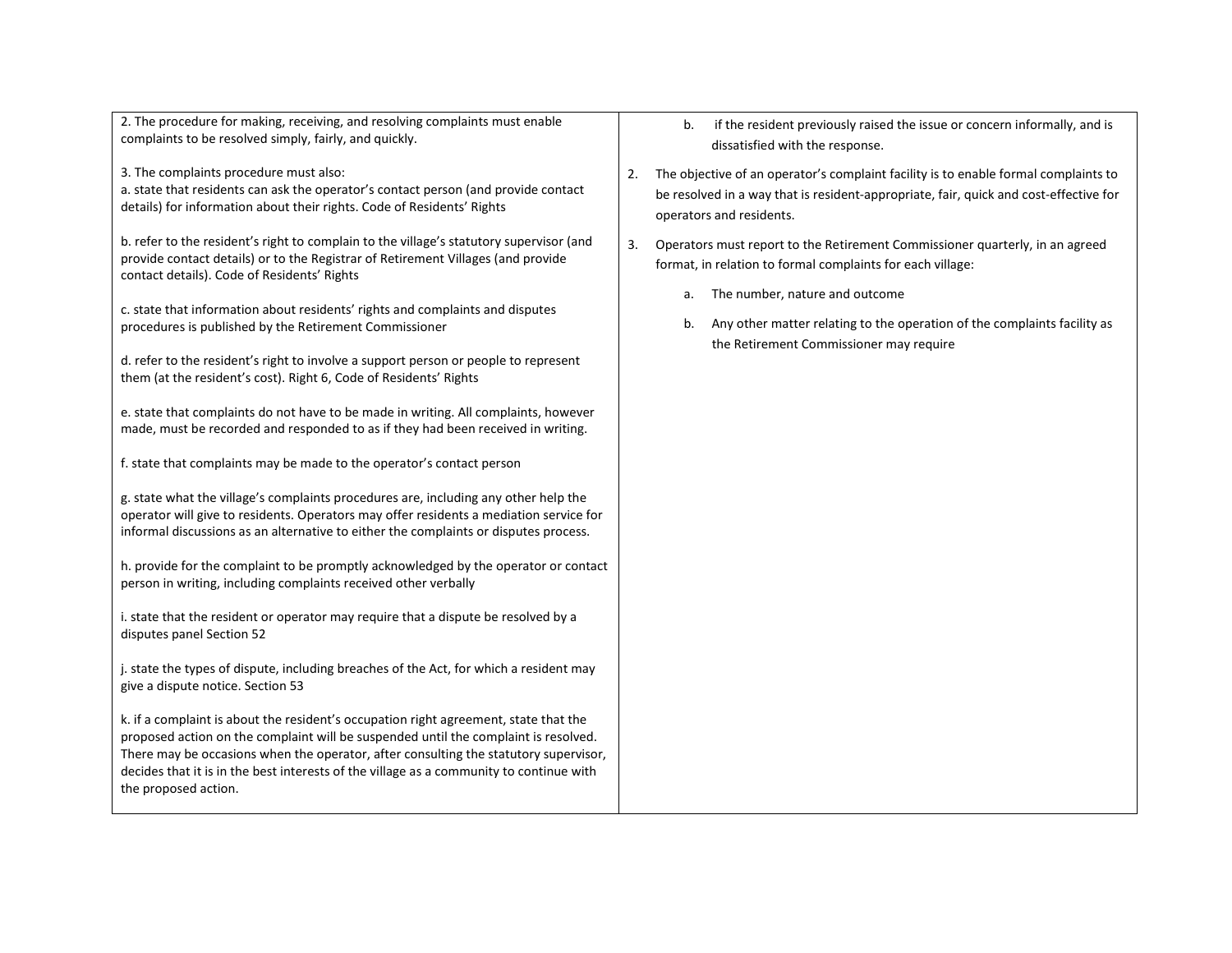2. The procedure for making, receiving, and resolving complaints must enable complaints to be resolved simply, fairly, and quickly.

3. The complaints procedure must also:

a. state that residents can ask the operator's contact person (and provide contact details) for information about their rights. Code of Residents' Rights

b. refer to the resident's right to complain to the village's statutory supervisor (and provide contact details) or to the Registrar of Retirement Villages (and provide contact details). Code of Residents' Rights

c. state that information about residents' rights and complaints and disputes procedures is published by the Retirement Commissioner

d. refer to the resident's right to involve a support person or people to represent them (at the resident's cost). Right 6, Code of Residents' Rights

e. state that complaints do not have to be made in writing. All complaints, however made, must be recorded and responded to as if they had been received in writing.

f. state that complaints may be made to the operator's contact person

g. state what the village's complaints procedures are, including any other help the operator will give to residents. Operators may offer residents a mediation service for informal discussions as an alternative to either the complaints or disputes process.

h. provide for the complaint to be promptly acknowledged by the operator or contact person in writing, including complaints received other verbally

i. state that the resident or operator may require that a dispute be resolved by a disputes panel Section 52

j. state the types of dispute, including breaches of the Act, for which a resident may give a dispute notice. Section 53

k. if a complaint is about the resident's occupation right agreement, state that the proposed action on the complaint will be suspended until the complaint is resolved. There may be occasions when the operator, after consulting the statutory supervisor, decides that it is in the best interests of the village as a community to continue with the proposed action.

- b. if the resident previously raised the issue or concern informally, and is dissatisfied with the response.
- 2. The objective of an operator's complaint facility is to enable formal complaints to be resolved in a way that is resident-appropriate, fair, quick and cost-effective for operators and residents.
- 3. Operators must report to the Retirement Commissioner quarterly, in an agreed format, in relation to formal complaints for each village:
	- a. The number, nature and outcome
	- b. Any other matter relating to the operation of the complaints facility as the Retirement Commissioner may require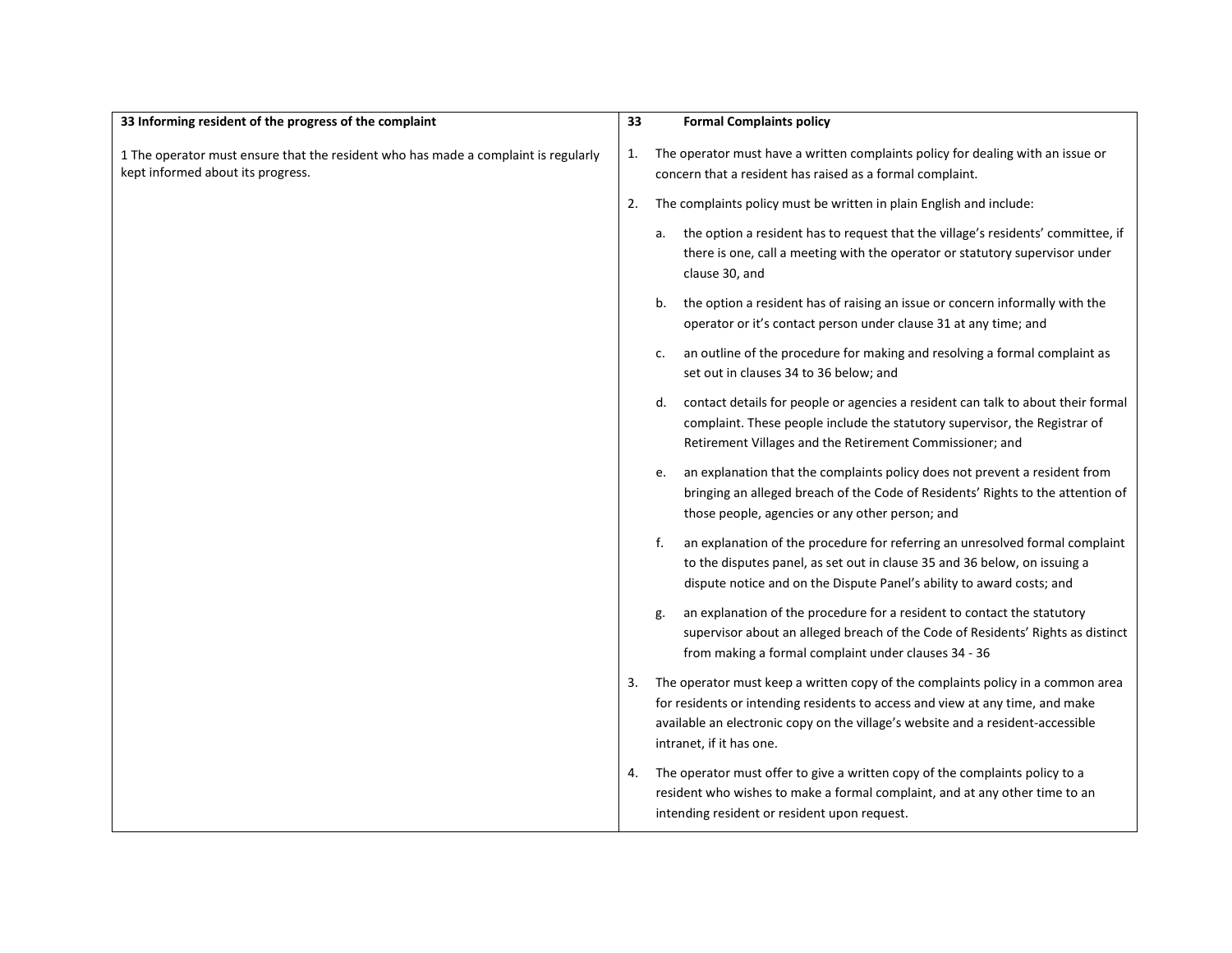| 33 Informing resident of the progress of the complaint                                                                  | 33 | <b>Formal Complaints policy</b>                                                                                                                                                                                                                                                 |
|-------------------------------------------------------------------------------------------------------------------------|----|---------------------------------------------------------------------------------------------------------------------------------------------------------------------------------------------------------------------------------------------------------------------------------|
| 1 The operator must ensure that the resident who has made a complaint is regularly<br>kept informed about its progress. | 1. | The operator must have a written complaints policy for dealing with an issue or<br>concern that a resident has raised as a formal complaint.                                                                                                                                    |
|                                                                                                                         | 2. | The complaints policy must be written in plain English and include:                                                                                                                                                                                                             |
|                                                                                                                         |    | the option a resident has to request that the village's residents' committee, if<br>а.<br>there is one, call a meeting with the operator or statutory supervisor under<br>clause 30, and                                                                                        |
|                                                                                                                         |    | the option a resident has of raising an issue or concern informally with the<br>b.<br>operator or it's contact person under clause 31 at any time; and                                                                                                                          |
|                                                                                                                         |    | an outline of the procedure for making and resolving a formal complaint as<br>c.<br>set out in clauses 34 to 36 below; and                                                                                                                                                      |
|                                                                                                                         |    | contact details for people or agencies a resident can talk to about their formal<br>d.<br>complaint. These people include the statutory supervisor, the Registrar of<br>Retirement Villages and the Retirement Commissioner; and                                                |
|                                                                                                                         |    | an explanation that the complaints policy does not prevent a resident from<br>e.<br>bringing an alleged breach of the Code of Residents' Rights to the attention of<br>those people, agencies or any other person; and                                                          |
|                                                                                                                         |    | an explanation of the procedure for referring an unresolved formal complaint<br>f.<br>to the disputes panel, as set out in clause 35 and 36 below, on issuing a<br>dispute notice and on the Dispute Panel's ability to award costs; and                                        |
|                                                                                                                         |    | an explanation of the procedure for a resident to contact the statutory<br>g.<br>supervisor about an alleged breach of the Code of Residents' Rights as distinct<br>from making a formal complaint under clauses 34 - 36                                                        |
|                                                                                                                         | 3. | The operator must keep a written copy of the complaints policy in a common area<br>for residents or intending residents to access and view at any time, and make<br>available an electronic copy on the village's website and a resident-accessible<br>intranet, if it has one. |
|                                                                                                                         | 4. | The operator must offer to give a written copy of the complaints policy to a<br>resident who wishes to make a formal complaint, and at any other time to an<br>intending resident or resident upon request.                                                                     |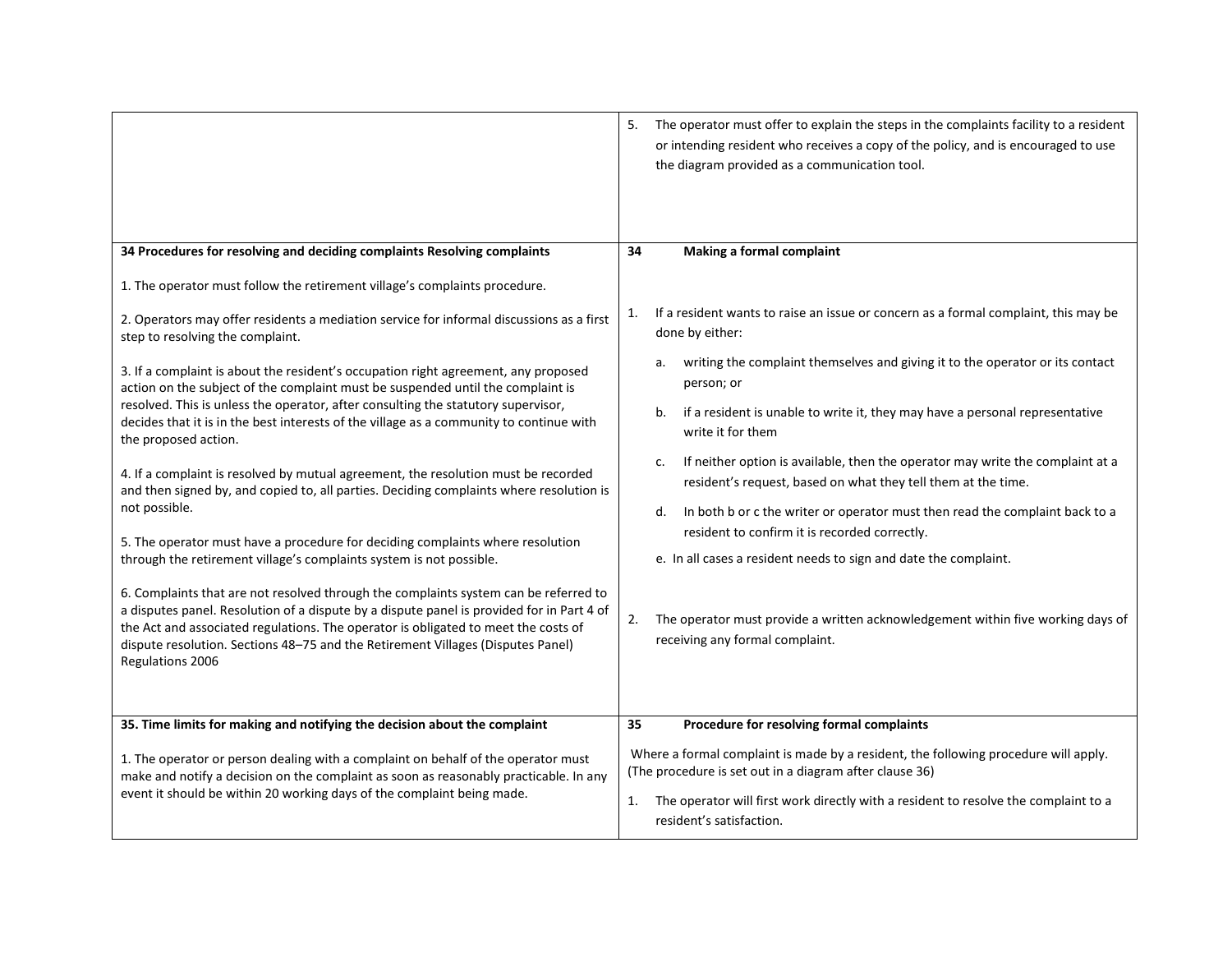|                                                                                                                                                                                                                                                                                                                                                                                | The operator must offer to explain the steps in the complaints facility to a resident<br>5.<br>or intending resident who receives a copy of the policy, and is encouraged to use<br>the diagram provided as a communication tool. |
|--------------------------------------------------------------------------------------------------------------------------------------------------------------------------------------------------------------------------------------------------------------------------------------------------------------------------------------------------------------------------------|-----------------------------------------------------------------------------------------------------------------------------------------------------------------------------------------------------------------------------------|
| 34 Procedures for resolving and deciding complaints Resolving complaints                                                                                                                                                                                                                                                                                                       | 34<br>Making a formal complaint                                                                                                                                                                                                   |
| 1. The operator must follow the retirement village's complaints procedure.                                                                                                                                                                                                                                                                                                     |                                                                                                                                                                                                                                   |
| 2. Operators may offer residents a mediation service for informal discussions as a first<br>step to resolving the complaint.                                                                                                                                                                                                                                                   | If a resident wants to raise an issue or concern as a formal complaint, this may be<br>1.<br>done by either:                                                                                                                      |
| 3. If a complaint is about the resident's occupation right agreement, any proposed<br>action on the subject of the complaint must be suspended until the complaint is<br>resolved. This is unless the operator, after consulting the statutory supervisor,<br>decides that it is in the best interests of the village as a community to continue with<br>the proposed action.  | writing the complaint themselves and giving it to the operator or its contact<br>а.<br>person; or                                                                                                                                 |
|                                                                                                                                                                                                                                                                                                                                                                                | if a resident is unable to write it, they may have a personal representative<br>b.<br>write it for them                                                                                                                           |
| 4. If a complaint is resolved by mutual agreement, the resolution must be recorded<br>and then signed by, and copied to, all parties. Deciding complaints where resolution is                                                                                                                                                                                                  | If neither option is available, then the operator may write the complaint at a<br>$\mathsf{c}$ .<br>resident's request, based on what they tell them at the time.                                                                 |
| not possible.                                                                                                                                                                                                                                                                                                                                                                  | In both b or c the writer or operator must then read the complaint back to a<br>d.<br>resident to confirm it is recorded correctly.                                                                                               |
| 5. The operator must have a procedure for deciding complaints where resolution<br>through the retirement village's complaints system is not possible.                                                                                                                                                                                                                          | e. In all cases a resident needs to sign and date the complaint.                                                                                                                                                                  |
| 6. Complaints that are not resolved through the complaints system can be referred to<br>a disputes panel. Resolution of a dispute by a dispute panel is provided for in Part 4 of<br>the Act and associated regulations. The operator is obligated to meet the costs of<br>dispute resolution. Sections 48-75 and the Retirement Villages (Disputes Panel)<br>Regulations 2006 | The operator must provide a written acknowledgement within five working days of<br>2.<br>receiving any formal complaint.                                                                                                          |
| 35. Time limits for making and notifying the decision about the complaint                                                                                                                                                                                                                                                                                                      | Procedure for resolving formal complaints<br>35                                                                                                                                                                                   |
| 1. The operator or person dealing with a complaint on behalf of the operator must<br>make and notify a decision on the complaint as soon as reasonably practicable. In any<br>event it should be within 20 working days of the complaint being made.                                                                                                                           | Where a formal complaint is made by a resident, the following procedure will apply.<br>(The procedure is set out in a diagram after clause 36)                                                                                    |
|                                                                                                                                                                                                                                                                                                                                                                                | The operator will first work directly with a resident to resolve the complaint to a<br>1.<br>resident's satisfaction.                                                                                                             |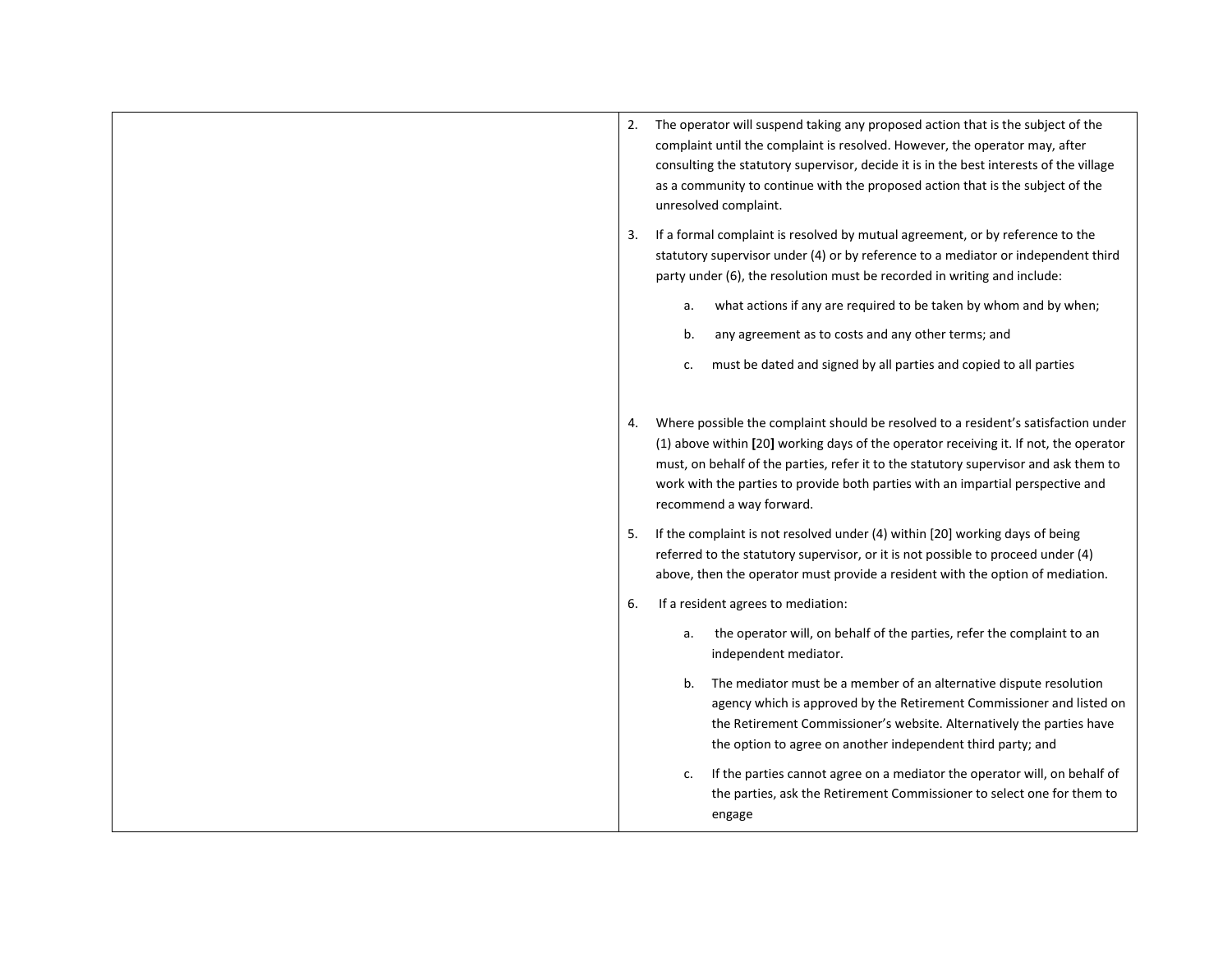| 2. | The operator will suspend taking any proposed action that is the subject of the<br>complaint until the complaint is resolved. However, the operator may, after<br>consulting the statutory supervisor, decide it is in the best interests of the village<br>as a community to continue with the proposed action that is the subject of the<br>unresolved complaint.                |
|----|------------------------------------------------------------------------------------------------------------------------------------------------------------------------------------------------------------------------------------------------------------------------------------------------------------------------------------------------------------------------------------|
| 3. | If a formal complaint is resolved by mutual agreement, or by reference to the<br>statutory supervisor under (4) or by reference to a mediator or independent third<br>party under (6), the resolution must be recorded in writing and include:                                                                                                                                     |
|    | what actions if any are required to be taken by whom and by when;<br>a.                                                                                                                                                                                                                                                                                                            |
|    | any agreement as to costs and any other terms; and<br>b.                                                                                                                                                                                                                                                                                                                           |
|    | must be dated and signed by all parties and copied to all parties<br>c.                                                                                                                                                                                                                                                                                                            |
|    |                                                                                                                                                                                                                                                                                                                                                                                    |
| 4. | Where possible the complaint should be resolved to a resident's satisfaction under<br>(1) above within [20] working days of the operator receiving it. If not, the operator<br>must, on behalf of the parties, refer it to the statutory supervisor and ask them to<br>work with the parties to provide both parties with an impartial perspective and<br>recommend a way forward. |
| 5. | If the complaint is not resolved under (4) within [20] working days of being<br>referred to the statutory supervisor, or it is not possible to proceed under (4)<br>above, then the operator must provide a resident with the option of mediation.                                                                                                                                 |
| 6. | If a resident agrees to mediation:                                                                                                                                                                                                                                                                                                                                                 |
|    | the operator will, on behalf of the parties, refer the complaint to an<br>a.<br>independent mediator.                                                                                                                                                                                                                                                                              |
|    | The mediator must be a member of an alternative dispute resolution<br>b.<br>agency which is approved by the Retirement Commissioner and listed on<br>the Retirement Commissioner's website. Alternatively the parties have<br>the option to agree on another independent third party; and                                                                                          |
|    | If the parties cannot agree on a mediator the operator will, on behalf of<br>c.<br>the parties, ask the Retirement Commissioner to select one for them to<br>engage                                                                                                                                                                                                                |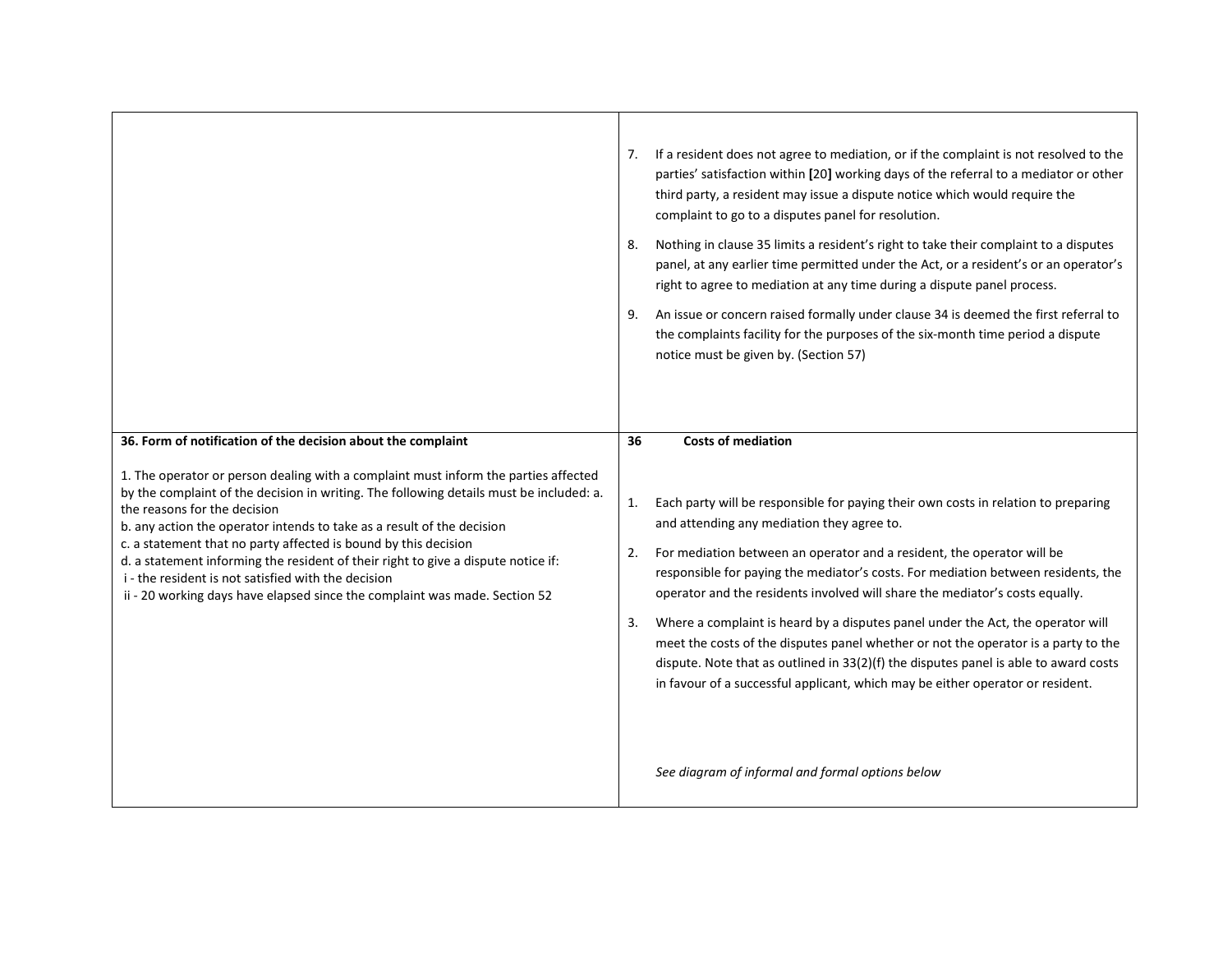|                                                                                                                                                                                                                                                                                                                                                                                                                                                                                                                                                                                                                                                       | If a resident does not agree to mediation, or if the complaint is not resolved to the<br>7.<br>parties' satisfaction within [20] working days of the referral to a mediator or other<br>third party, a resident may issue a dispute notice which would require the<br>complaint to go to a disputes panel for resolution.<br>Nothing in clause 35 limits a resident's right to take their complaint to a disputes<br>8.<br>panel, at any earlier time permitted under the Act, or a resident's or an operator's<br>right to agree to mediation at any time during a dispute panel process.<br>An issue or concern raised formally under clause 34 is deemed the first referral to<br>9.<br>the complaints facility for the purposes of the six-month time period a dispute<br>notice must be given by. (Section 57)                         |
|-------------------------------------------------------------------------------------------------------------------------------------------------------------------------------------------------------------------------------------------------------------------------------------------------------------------------------------------------------------------------------------------------------------------------------------------------------------------------------------------------------------------------------------------------------------------------------------------------------------------------------------------------------|---------------------------------------------------------------------------------------------------------------------------------------------------------------------------------------------------------------------------------------------------------------------------------------------------------------------------------------------------------------------------------------------------------------------------------------------------------------------------------------------------------------------------------------------------------------------------------------------------------------------------------------------------------------------------------------------------------------------------------------------------------------------------------------------------------------------------------------------|
| 36. Form of notification of the decision about the complaint<br>1. The operator or person dealing with a complaint must inform the parties affected<br>by the complaint of the decision in writing. The following details must be included: a.<br>the reasons for the decision<br>b. any action the operator intends to take as a result of the decision<br>c. a statement that no party affected is bound by this decision<br>d. a statement informing the resident of their right to give a dispute notice if:<br>i - the resident is not satisfied with the decision<br>ii - 20 working days have elapsed since the complaint was made. Section 52 | <b>Costs of mediation</b><br>36<br>Each party will be responsible for paying their own costs in relation to preparing<br>1.<br>and attending any mediation they agree to.<br>For mediation between an operator and a resident, the operator will be<br>2.<br>responsible for paying the mediator's costs. For mediation between residents, the<br>operator and the residents involved will share the mediator's costs equally.<br>Where a complaint is heard by a disputes panel under the Act, the operator will<br>3.<br>meet the costs of the disputes panel whether or not the operator is a party to the<br>dispute. Note that as outlined in 33(2)(f) the disputes panel is able to award costs<br>in favour of a successful applicant, which may be either operator or resident.<br>See diagram of informal and formal options below |